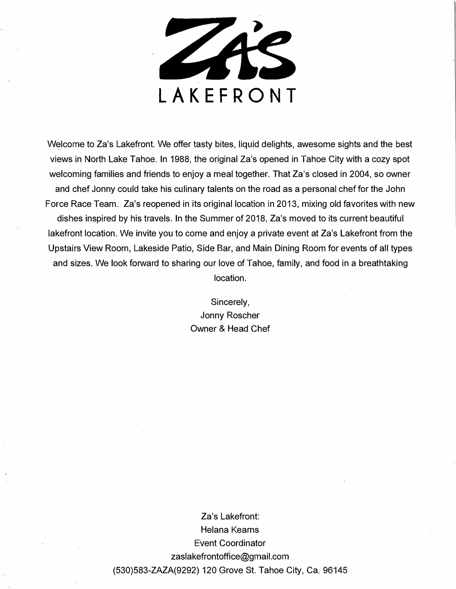

Welcome to Za's Lakefront. We offer tasty bites, liquid delights, awesome sights and the best views in North Lake Tahoe. In 1988, the original Za's opened in Tahoe City with a cozy spot welcoming families and friends to enjoy a meal together. That Za's closed in 2004, so owner and chef Jonny could take his culinary talents on the road as a personal chef for the John Force Race Team. Za's reopened in its original location in 2013, mixing old favorites with new dishes inspired by his travels. In the Summer of 2018, Za's moved to its current beautiful lakefront location. We invite you to come and enjoy a private event at Za's Lakefront from the Upstairs View Room, Lakeside Patio, Side Bar, and Main Dining Room for events of all types and sizes. We look forward to sharing our love of Tahoe, family, and food in a breathtaking location.

> Sincerely, Jonny Roscher Owner & Head Chef

Za's Lakefront: Helana Kearns Event Coordinator zaslakefrontoffice@gmail.com (530)583-ZAZA(9292) 120 Grove St. Tahoe City, Ca. 96145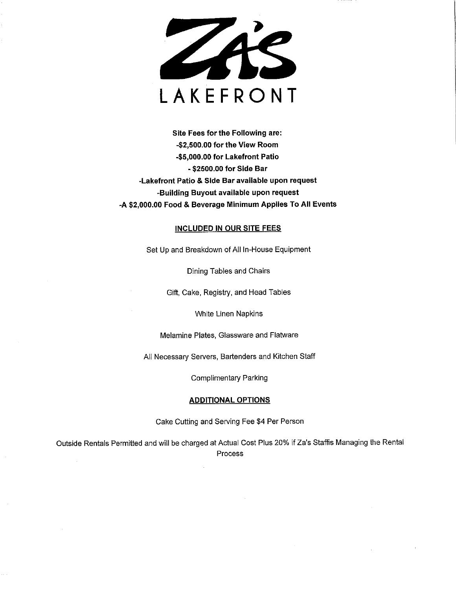

Site Fees for the Following are: -\$2,500.00 for the View Room -\$5,000.00 for Lakefront Patio - \$2500.00 for Side Bar -Lakefront Patio & Side Bar available upon request -Building Buyout available upon request -A \$2,000.00 Food & Beverage Minimum Applies To All Events

#### **INCLUDED IN OUR SITE FEES**

Set Up and Breakdown of All In-House Equipment

Dining Tables and Chairs

Gift, Cake, Registry, and Head Tables

White Linen Napkins

Melamine Plates, Glassware and Flatware

All Necessary Servers, Bartenders and Kitchen Staff

**Complimentary Parking** 

#### **ADDITIONAL OPTIONS**

Cake Cutting and Serving Fee \$4 Per Person

Outside Rentals Permitted and will be charged at Actual Cost Plus 20% if Za's Staffis Managing the Rental Process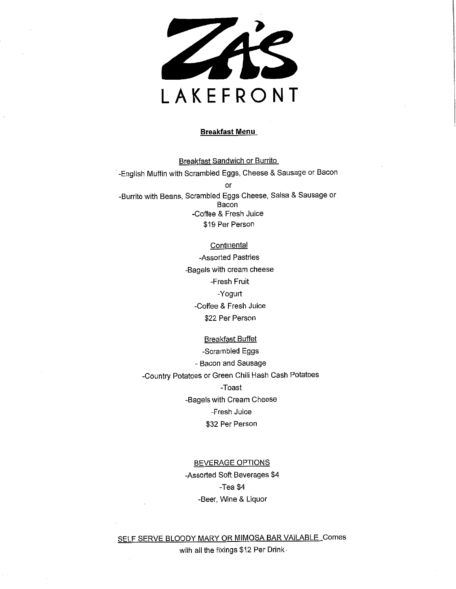

#### **Breakfast Menu**

**Breakfast Sandwich or Burrito** -English Muffin with Scrambled Eggs, Cheese & Sausage or Bacon or -Burrito with Beans, Scrambled Eggs Cheese, Salsa & Sausage or Bacon -Coffee & Fresh Juice \$19 Per Person

> Continental -Assorted Pastries -Bagels with cream cheese -Fresh Fruit -Yogurt -Coffee & Fresh Juice \$22 Per Person

**Breakfast Buffet** -Scrambled Eggs - Bacon and Sausage -Country Potatoes or Green Chili Hash Cash Potatoes -Toast -Bagels with Cream Cheese -Fresh Juice \$32 Per Person

# **BEVERAGE OPTIONS** -Assorted Soft Beverages \$4

 $-$ Tea \$4 -Beer, Wine & Liquor

## SELF SERVE BLOODY MARY OR MIMOSA BAR VAILABLE\_Comes

with all the fixings \$12 Per Drink.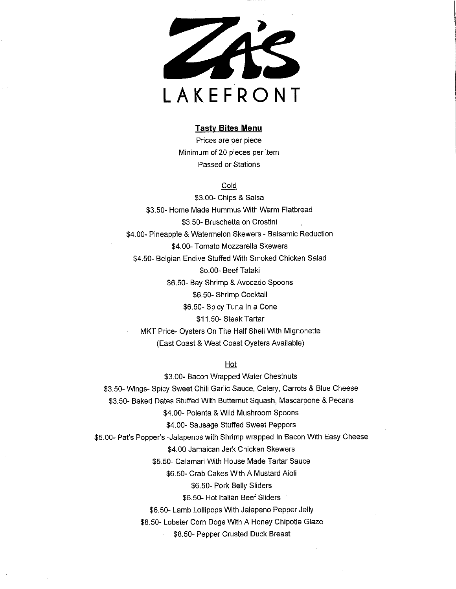

#### **Tasty Bites Menu**

Prices are per piece Minimum of 20 pieces per item Passed or Stations

## Cold

\$3.00- Chips & Salsa \$3.50- Home Made Hummus With Warm Flatbread \$3.50- Bruschetta on Crostini \$4.00- Pineapple & Watermelon Skewers - Balsamic Reduction \$4.00- Tomato Mozzarella Skewers \$4.50- Belgian Endive Stuffed With Smoked Chicken Salad \$5.00- Beef Tataki \$6.50- Bay Shrimp & Avocado Spoons \$6.50- Shrimp Cocktail \$6.50- Spicy Tuna In a Cone \$11.50- Steak Tartar MKT Price- Oysters On The Half Shell With Mignonette (East Coast & West Coast Oysters Available)

## $Hot$

\$3.00- Bacon Wrapped Water Chestnuts \$3.50- Wings- Spicy Sweet Chili Garlic Sauce, Celery, Carrots & Blue Cheese \$3.50- Baked Dates Stuffed With Butternut Squash, Mascarpone & Pecans \$4.00- Polenta & Wild Mushroom Spoons \$4.00- Sausage Stuffed Sweet Peppers \$5.00- Pat's Popper's -Jalapenos with Shrimp wrapped In Bacon With Easy Cheese \$4,00 Jamaican Jerk Chicken Skewers \$5.50- Calamari With House Made Tartar Sauce \$6.50- Crab Cakes With A Mustard Aioli \$6.50- Pork Belly Sliders \$6.50- Hot Italian Beef Sliders \$6.50- Lamb Lollipops With Jalapeno Pepper Jelly \$8.50- Lobster Corn Dogs With A Honey Chipotle Glaze \$8.50- Pepper Crusted Duck Breast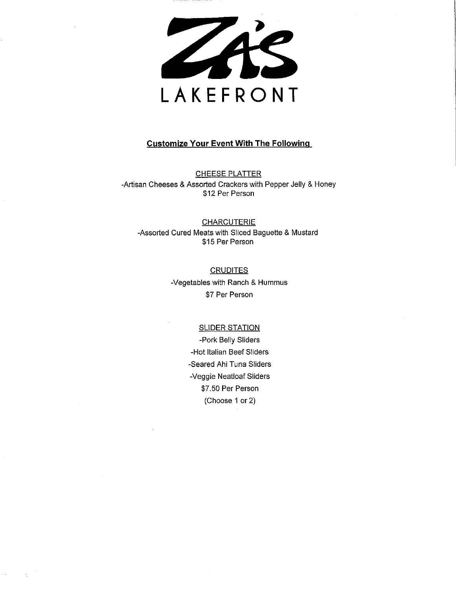

## **Customize Your Event With The Following**

**CHEESE PLATTER** -Artisan Cheeses & Assorted Crackers with Pepper Jelly & Honey \$12 Per Person

## **CHARCUTERIE** -Assorted Cured Meats with Sliced Baguette & Mustard \$15 Per Person

## **CRUDITES**

-Vegetables with Ranch & Hummus \$7 Per Person

## **SLIDER STATION**

-Pork Belly Sliders -Hot Italian Beef Sliders -Seared Ahi Tuna Sliders -Veggie Neatloaf Sliders \$7.50 Per Person (Choose 1 or 2)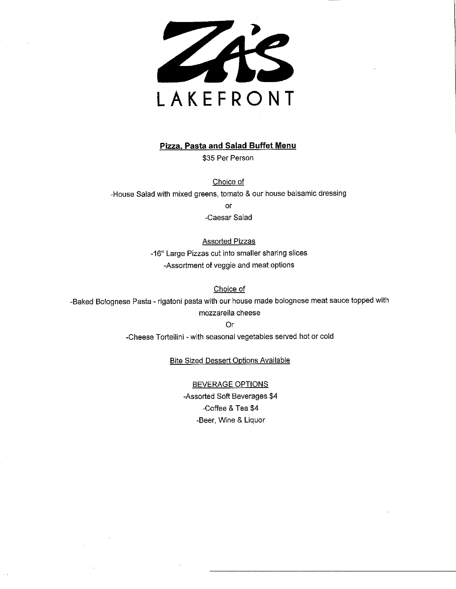

### **Pizza, Pasta and Salad Buffet Menu**

\$35 Per Person

Choice of -House Salad with mixed greens, tomato & our house balsamic dressing

or

-Caesar Salad

## **Assorted Pizzas**

-16" Large Pizzas cut into smaller sharing slices -Assortment of veggie and meat options

Choice of

-Baked Bolognese Pasta - rigatoni pasta with our house made bolognese meat sauce topped with

#### mozzarella cheese

**Or** 

-Cheese Tortellini - with seasonal vegetables served hot or cold

**Bite Sized Dessert Options Available** 

#### **BEVERAGE OPTIONS**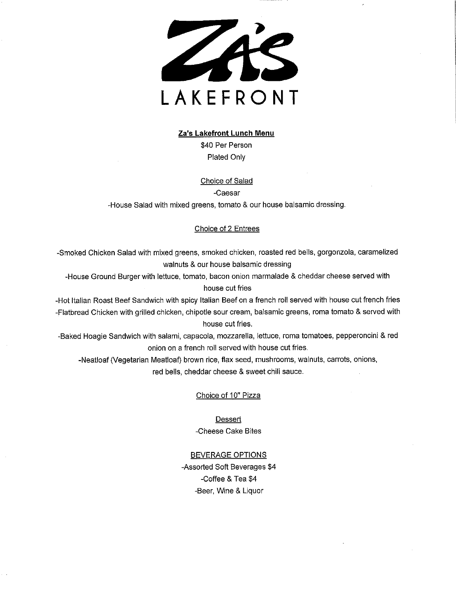

#### Za's Lakefront Lunch Menu

\$40 Per Person Plated Only

#### Choice of Salad

-Caesar

-House Salad with mixed greens, tomato & our house balsamic dressing.

### Choice of 2 Entrees

-Smoked Chicken Salad with mixed greens, smoked chicken, roasted red bells, gorgonzola, caramelized walnuts & our house balsamic dressing

-House Ground Burger with lettuce, tomato, bacon onion marmalade & cheddar cheese served with house cut fries

-Hot Italian Roast Beef Sandwich with spicy Italian Beef on a french roll served with house cut french fries -Flatbread Chicken with grilled chicken, chipotle sour cream, balsamic greens, roma tomato & served with house cut fries.

-Baked Hoagie Sandwich with salami, capacola, mozzarella, lettuce, roma tomatoes, pepperoncini & red onion on a french roll served with house cut fries.

-Neatloaf (Vegetarian Meatloaf) brown rice, flax seed, mushrooms, walnuts, carrots, onions, red bells, cheddar cheese & sweet chili sauce.

Choice of 10" Pizza

Dessert -Cheese Cake Bites

## **BEVERAGE OPTIONS**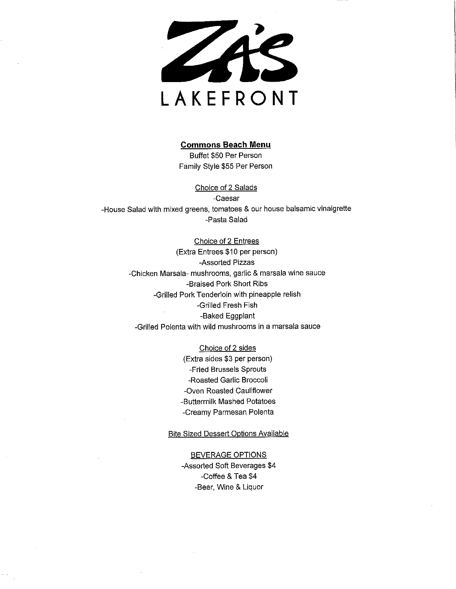

#### **Commons Beach Menu**

Buffet \$50 Per Person Family Style \$55 Per Person

Choice of 2 Salads -Caesar -House Salad with mixed greens, tomatoes & our house balsamic vinaigrette -Pasta Salad

> Choice of 2 Entrees (Extra Entrees \$10 per person) -Assorted Pizzas -Chicken Marsala- mushrooms, garlic & marsala wine sauce -Braised Pork Short Ribs -Grilled Pork Tenderloin with pineapple relish -Grilled Fresh Fish -Baked Eggplant -Grilled Polenta with wild mushrooms in a marsala sauce

> > Choice of 2 sides (Extra sides \$3 per person) -Fried Brussels Sprouts -Roasted Garlic Broccoli -Oven Roasted Cauliflower -Buttermilk Mashed Potatoes -Creamy Parmesan Polenta

#### **Bite Sized Dessert Options Available**

#### **BEVERAGE OPTIONS**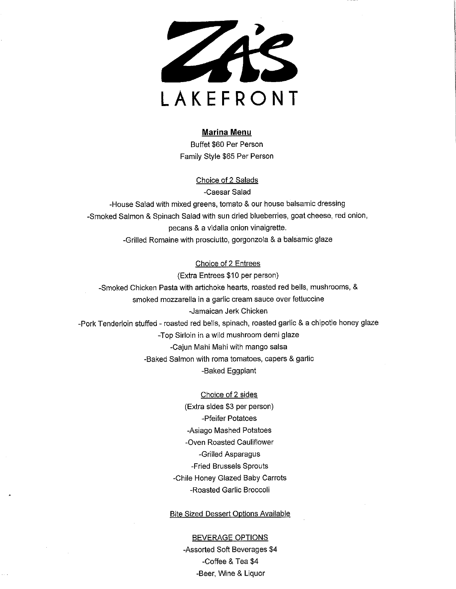

#### **Marina Menu**

Buffet \$60 Per Person Family Style \$65 Per Person

> Choice of 2 Salads -Caesar Salad

-House Salad with mixed greens, tomato & our house balsamic dressing -Smoked Salmon & Spinach Salad with sun dried blueberries, goat cheese, red onion, pecans & a vidalia onion vinaigrette. -Grilled Romaine with prosciutto, gorgonzola & a balsamic glaze

## Choice of 2 Entrees

(Extra Entrees \$10 per person) -Smoked Chicken Pasta with artichoke hearts, roasted red bells, mushrooms, & smoked mozzarella in a garlic cream sauce over fettuccine -Jamaican Jerk Chicken -Pork Tenderloin stuffed - roasted red bells, spinach, roasted garlic & a chipotle honey glaze -Top Sirloin in a wild mushroom demi glaze -Cajun Mahi Mahi with mango salsa -Baked Salmon with roma tomatoes, capers & garlic -Baked Eggplant

> Choice of 2 sides (Extra sides \$3 per person) -Pfeifer Potatoes -Asiago Mashed Potatoes -Oven Roasted Cauliflower -Grilled Asparagus -Fried Brussels Sprouts -Chile Honey Glazed Baby Carrots -Roasted Garlic Broccoli

### **Bite Sized Dessert Options Available**

**BEVERAGE OPTIONS** -Assorted Soft Beverages \$4 -Coffee & Tea \$4 -Beer, Wine & Liquor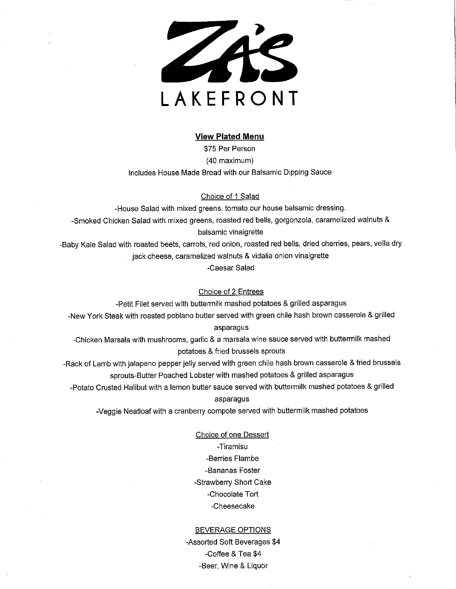

#### **View Plated Menu**

\$75 Per Person (40 maximum) Includes House Made Bread with our Balsamic Dipping Sauce

#### Choice of 1 Salad

-House Salad with mixed greens, tomato our house balsamic dressing. -Smoked Chicken Salad with mixed greens, roasted red bells, gorgonzola, caramelized walnuts & balsamic vinaigrette

-Baby Kale Salad with roasted beets, carrots, red onion, roasted red bells, dried cherries, pears, vella dry jack cheese, caramelized walnuts & vidalia onion vinaigrette

-Caesar Salad

Choice of 2 Entrees

-Petit Filet served with buttermilk mashed potatoes & grilled asparagus

-New York Steak with roasted poblano butter served with green chile hash brown casserole & grilled asparagus

-Chicken Marsala with mushrooms, garlic & a marsala wine sauce served with buttermilk mashed potatoes & fried brussels sprouts

-Rack of Lamb with jalapeno pepper jelly served with green chile hash brown casserole & fried brussels sprouts-Butter Poached Lobster with mashed potatoes & grilled asparagus

-Potato Crusted Halibut with a lemon butter sauce served with buttermilk mashed potatoes & grilled

#### asparagus

-Veggie Neatloaf with a cranberry compote served with buttermilk mashed potatoes

**Choice of one Dessert** -Tiramisu -Berries Flambe -Bananas Foster -Strawberry Short Cake -Chocolate Tort -Cheesecake

#### **BEVERAGE OPTIONS**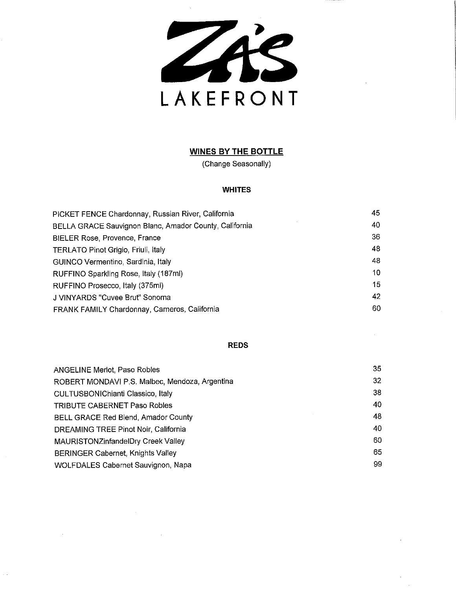ZAS LAKEFRONT

## **WINES BY THE BOTTLE**

(Change Seasonally)

## **WHITES**

| PICKET FENCE Chardonnay, Russian River, California     | 45 |
|--------------------------------------------------------|----|
| BELLA GRACE Sauvignon Blanc, Amador County, California | 40 |
| <b>BIELER Rose, Provence, France</b>                   | 36 |
| <b>TERLATO Pinot Grigio, Friuli, Italy</b>             | 48 |
| GUINCO Vermentino, Sardinia, Italy                     | 48 |
| RUFFINO Sparkling Rose, Italy (187ml)                  | 10 |
| RUFFINO Prosecco, Italy (375ml)                        | 15 |
| J VINYARDS "Cuvee Brut" Sonoma                         | 42 |
| <b>FRANK FAMILY Chardonnay, Carneros, California</b>   | 60 |

## **REDS**

| <b>ANGELINE Merlot, Paso Robles</b>            | 35 |
|------------------------------------------------|----|
| ROBERT MONDAVI P.S. Malbec, Mendoza, Argentina | 32 |
| <b>CULTUSBONIChianti Classico, Italy</b>       | 38 |
| <b>TRIBUTE CABERNET Paso Robles</b>            | 40 |
| BELL GRACE Red Blend, Amador County            | 48 |
| DREAMING TREE Pinot Noir, California           | 40 |
| MAURISTONZinfandelDry Creek Valley             | 60 |
| <b>BERINGER Cabernet, Knights Valley</b>       | 65 |
| <b>WOLFDALES Cabernet Sauvignon, Napa</b>      | 99 |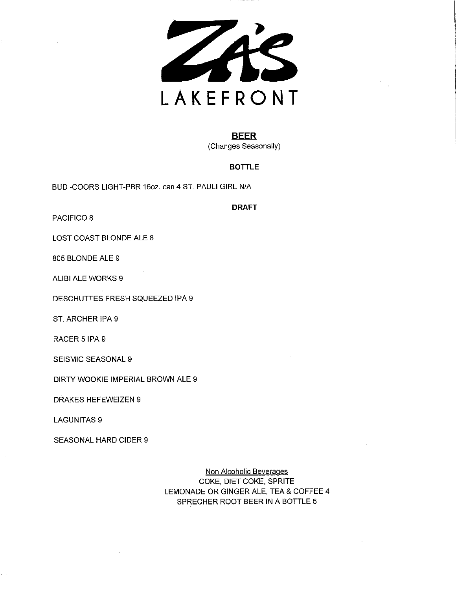

## **BEER** (Changes Seasonally)

## **BOTTLE**

BUD-COORS LIGHT-PBR 16oz. can 4 ST. PAULI GIRL N/A

**DRAFT** 

PACIFICO 8

LOST COAST BLONDE ALE 8

805 BLONDE ALE 9

ALIBI ALE WORKS 9

DESCHUTTES FRESH SQUEEZED IPA 9

ST. ARCHER IPA 9

RACER 5 IPA 9

SEISMIC SEASONAL 9

DIRTY WOOKIE IMPERIAL BROWN ALE 9

**DRAKES HEFEWEIZEN 9** 

**LAGUNITAS 9** 

**SEASONAL HARD CIDER 9** 

Non Alcoholic Beverages COKE, DIET COKE, SPRITE LEMONADE OR GINGER ALE, TEA & COFFEE 4 SPRECHER ROOT BEER IN A BOTTLE 5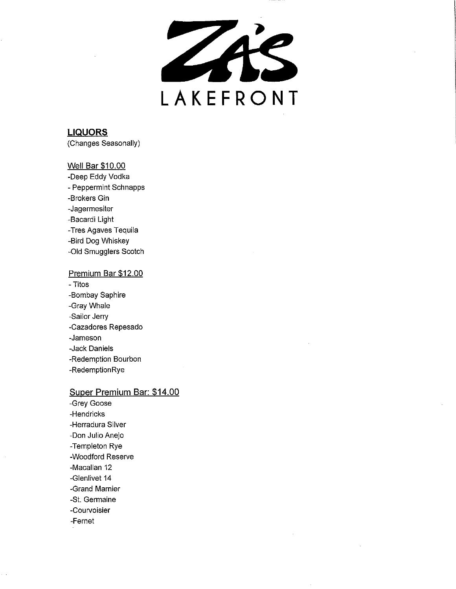ZAS LAKEFRONT

## **LIQUORS** (Changes Seasonally)

## **Well Bar \$10.00**

-Deep Eddy Vodka - Peppermint Schnapps -Brokers Gin -Jagermesiter -Bacardi Light -Tres Agaves Tequila -Bird Dog Whiskey -Old Smugglers Scotch

## Premium Bar \$12.00

- Titos -Bombay Saphire -Gray Whale -Sailor Jerry -Cazadores Repesado -Jameson -Jack Daniels -Redemption Bourbon -RedemptionRye

### Super Premium Bar: \$14.00

-Grey Goose -Hendricks -Herradura Silver -Don Julio Anejo -Templeton Rye -Woodford Reserve -Macallan 12 -Glenlivet 14 -Grand Marnier -St. Germaine -Courvoisier -Fernet